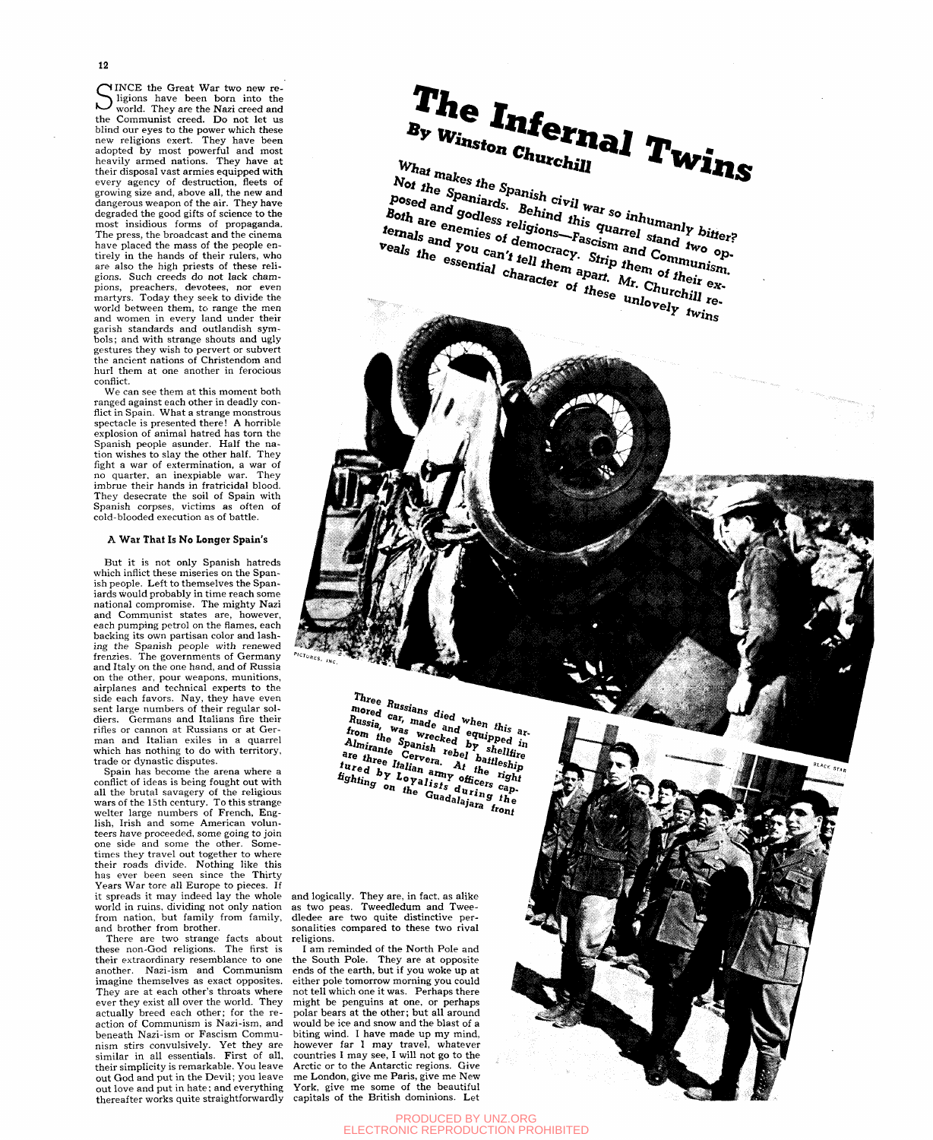12

SINCE the Great War two new re-<br>Sigions have been born into the<br>world. They are the Nazi creed and ligions have been born into the world. They are the Nazi creed and the Communist creed. Do not let us blind our eyes to the power which these new religions exert. They have been adopted by most powerful and most heavily armed nations. They have at their disposal vast armies equipped with every agency of destruction, fleets of growing size and, above all, the new and dangerous weapon of the air. They have degraded the good gifts of science to the most insidious forms of propaganda. The press, the broadcast and the cinema have placed the mass of the people entirely in the hands of their rulers, who are also the high priests of these religions. Such creeds do not lack champions, preachers, devotees, nor even martyrs. Today they seek to divide the world between them, to range the men and women in every land under their and women in every land dilder their garisir standards and outlandish sym-<br>bols: and with strange shouts and ugly gestures they wish to pervert or subvert the ancient nations of Christendom and hurl them at one another in ferocious conflict.

We can see them at this moment both ranged against each other in deadly conflict in Spain. What a strange monstrous spectacle is presented there! A horrible explosion of animal hatred has torn the Spanish people asunder. Half the nation wishes to slay the other half. They fight a war of extermination, a war of no quarter, an inexpiable war. They imbrue their hands in fratricidal blood. They desecrate the soil of Spain with Spanish corpses, victims as often of cold-blooded execution as of battle.

## A **War That Is No Longer Spain's**

But it is not only Spanish hatreds which inflict these miseries on the Spanish people. Left to themselves the Spaniards would probably in time reach some national compromise. The mighty Nazi and Communist states are, however, each pumping petrol on the flames, each backing its own partisan color and lashing the Spanish people with renewed frenzies. The governments of Germany and Italy on the one hand, and of Russia on the other, pour weapons, munitions, airplanes and technical experts to the side each favors. Nay, they have even sent large numbers of their regular soldiers. Germans and Italians fire their rifles or cannon at Russians or at German and Italian exiles in a quarrel which has nothing to do with territory, trade or dynastic disputes.

Spain has become the arena where a conflict of ideas is being fought out with all the brutal savagery of the religious wars of the 15th century. To this strange welter large numbers of French, English, Irish and some American volunteers have proceeded, some going to join one side and some the other. Sometimes they travel out together to where their roads divide. Nothing like this has ever been seen since the Thirty Years War tore all Europe to pieces. If it spreads it may indeed lay the whole world in ruins, dividing not only nation from nation, but family from family, and brother from brother.

There are two strange facts about these non-God religions. The first is their extraordinary resemblance to one another. Nazi-ism and Communism imagine themselves as exact opposites. They are at each other's throats where ever they exist all over the world. They actually breed each other; for the reaction of Communism is Nazi-ism, and beneath Nazi-ism or Fascism Communism stirs convulsively. Yet they are similar in all essentials. First of all, their simplicity is remarkable. You leave out God and put in the Devil; you leave out love and put in hate; and everything thereafter works quite straightforwardly

The **Infernal Twins** 

What makes the Spanish civil war so inhumanly bitter?<br>
Posed and godless religions—Fascism and two op-<br>
ternals and you can't tell them apart. Mr. Churchill re-Ternals and you can't fell them apart. Mr. Churchill respections.

BLACK STAR

Three Russians died when this are Russia, was wrecked equipped in the same of the same of the same of the same of the same of the same of the same of the same of the same of the same of the same of the same of the same of Three *Hussians* alea *When Illis* are mored car, made and equipped in *i*e *light* and *i i*<sup>-</sup> *spanish rebuted by suemner a i suemner i spanish rebel battleship sure i revera At* the right *fighier Cervera*. *fight different different in a line in during officers cap-* $\alpha_{\text{u}q}$  alaiar  $f_{h}$ ^hra fro *ni* 

and logically. They are, in fact, as alike as two peas. Tweedledum and Tweedledee are two quite distinctive personalities compared to these two rival religions.

I am reminded of the North Pole and the South Pole. They are at opposite ends of the earth, but if you woke up at either pole tomorrow morning you could not tell which one it was. Perhaps there might be penguins at one, or perhaps polar bears at the other; but all around would be ice and snow and the blast of a biting wind. I have made up my mind, however far I may travel, whatever countries I may see, I will not go to the Arctic or to the Antarctic regions. Give me London, give me Paris, give me New York, give me some of the beautiful capitals of the British dominions. Let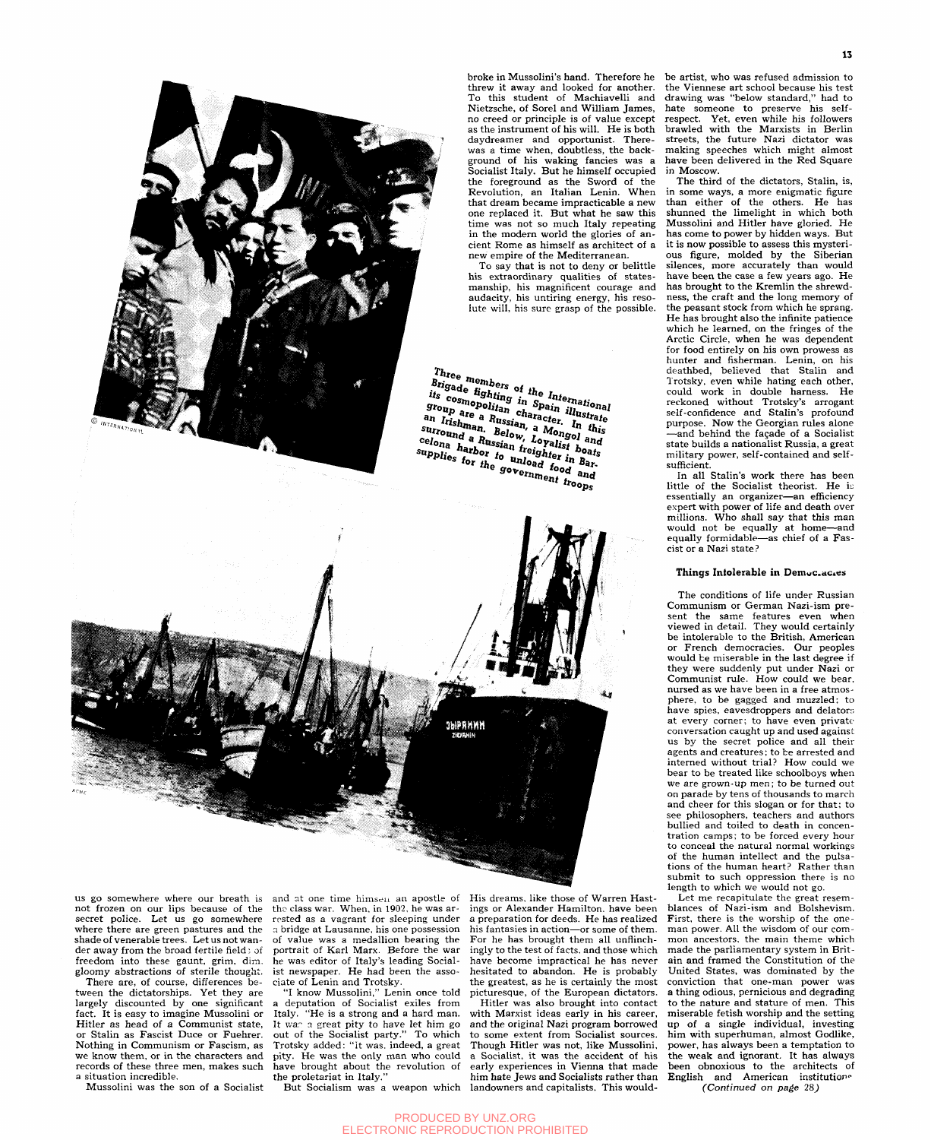broke in Mussolini's hand. Therefore he threw it away and looked for another. To this student of Machiavelli and Nietzsche, of Sorel and William James, no creed or principle is of value except as the instrument of his will. He is both daydreamer and opportunist. Therewas a time when, doubtless, the background of his waking fancies was a Socialist Italy. But he himself occupied the foreground as the Sword of the Revolution, an Italian Lenin. When that dream became impracticable a new one replaced it. But what he saw this time was not so much Italy repeating in the modern world the glories of ancient Rome as himself as architect of a new empire of the Mediterranean.

To say that is not to deny or belittle his extraordinary qualities of statesmanship, his magnificent courage and audacity, his untiring energy, his resolute will, his sure grasp of the possible.

 $\begin{array}{c} \text{Three } \textit{members} \\ \textit{Brigade } \textit{lighting} \text{~in } \textit{Infernational} \\ \textit{its } \textit{cosmopolitan} \text{~in } \textit{Spani} \\ \textit{in } \textit{character. In } \textit{firstrate} \\ \textit{in } \textit{this} \end{array}$ *s suspicupoidal character*. *in this surround a Russian, a Mongol and celona harbor to unload food and* food and

be artist, who was refused admission to the Viennese art school because his test drawing was "below standard," had to hate someone to preserve his selfrespect. Yet, even while his followers brawled with the Marxists in Berlin streets, the future Nazi dictator was making speeches which might almost have been delivered in the Red Square in Moscow.

The third of the dictators, Stalin, is, in some ways, a more enigmatic figure than either of the others. He has shunned the limelight in which both Mussolini and Hitler have gloried. He has come to power by hidden ways. But it is now possible to assess this mysterious figure, molded by the Siberian silences, more accurately than would have been the case a few years ago. He has brought to the Kremlin the shrewdness, the craft and the long memory of the peasant stock from which he sprang. He has brought also the infinite patience which he learned, on the fringes of the Arctic Circle, when he was dependent for food entirely on his own prowess as hunter and fisherman. Lenin, on his deathbed, believed that Stalin and Trotsky, even while hating each other, could work in double harness. He reckoned without Trotsky's arrogant self-confidence and Stalin's profound sen-commence and stands profound —and behind the fagade of a Socialist and benniu the raçade or a Socialist<br>state builds a nationalist Russia, a great state builds a hationalist Russia, a great<br>military power, self-contained and selfmilitary power, self-contained and self-<br>sufficient.

In all Stalin's work there has been little of the Socialist theorist. He is essentially an organizer—an efficiency expert with power of life and death over millions. Who shall say that this man would not be equally at home—and equally formidable—as chief of a Fascist or a Nazi state?

## **Things Intolerable in Democ.ac.es**

The conditions of life under Russian Communism or German Nazi-ism present the same features even when viewed in detail. They would certainly be intolerable to the British, American or French democracies. Our peoples would be miserable in the last degree if they were suddenly put under Nazi or Communist rule. How could we bear, nursed as we have been in a free atmosphere, to be gagged and muzzled: to have spies, eavesdroppers and delators at every corner; to have even private' conversation caught up and used against us by the secret police and all their agents and creatures; to be arrested and interned without trial? How could we bear to be treated like schoolboys when we are grown-up men; to be turned out on parade by tens of thousands to march and cheer for this slogan or for that; to see philosophers, teachers and authors bullied and toiled to death in concentration camps; to be forced every hour to conceal the natural normal workings of the human intellect and the pulsations of the human heart? Rather than submit to such oppression there is no length to which we would not go.

Let me recapitulate the great resemblances of Nazi-ism and Bolshevism. First, there is the worship of the oneman power. All the wisdom of our common ancestors, the main theme which made the parliamentary system in Britain and framed the Constitution of the United States, was dominated by the conviction that one-man power was a thing odious, pernicious and degrading to the nature and stature of men. This miserable fetish worship and the setting up of a single individual, investing him with superhuman, almost Godlike, power, has always been a temptation to the weak and ignorant. It has always been obnoxious to the architects of English and American institution<sup>®</sup> *(Continued on page* 28^

us go somewhere where our breath is not frozen on our lips because of the secret police. Let us go somewhere where there are green pastures and the shade of venerable trees. Let us not wander away from the broad fertile field; of freedom into these gaunt, grim, dim. gloomy abstractions of sterile thought.

There are, of course, differences between the dictatorships. Yet they are largely discounted by one significant fact. It is easy to imagine Mussolini or Hitler as head of a Communist state, or Stalin as Fascist Duce or Fuehrer. Nothing in Communism or Fascism, as we know them, or in the characters and records of these three men, makes such a situation incredible.

Mussolini was the son of a Socialist

and at one time himseu an apostle of the class war. When, in 1902, he was arrested as a vagrant for sleeping under a bridge at Lausanne, his one possession of value was a medallion bearing the portrait of Karl Marx. Before the war he was editor of Italy's leading Socialist newspaper. He had been the associate of Lenin and Trotsky.

"I know Mussolini," Lenin once told deputation of Socialist exiles from Italy. "He is a strong and a hard man. It was a great pity to have let him go out of the Socialist party." To which Trotsky added: "it was. indeed, a great pity. He was the only man who could have brought about the revolution of the proletariat in Italy."

But Socialism was a weapon which

PRODUCED BY UNZ.ORG ELECTRONIC REPRODUCTION PROHIBITED

His dreams, like those of Warren Hastings or Alexander Hamilton, have been a preparation for deeds. He has realized his fantasies in action—or some of them. For he has brought them all unflinchingly to the test of facts, and those which have become impractical he has never hesitated to abandon. He is probably the greatest, as he is certainly the most picturesque, of the European dictators.

Hitler was also brought into contact with Marxist ideas early in his career, and the original Nazi program borrowed to some extent from Socialist sources. Though Hitler was not, like Mussolini, a Socialist, it was the accident of his early experiences in Vienna that made him hate Jews and Socialists rather than landowners and capitalists. This would-